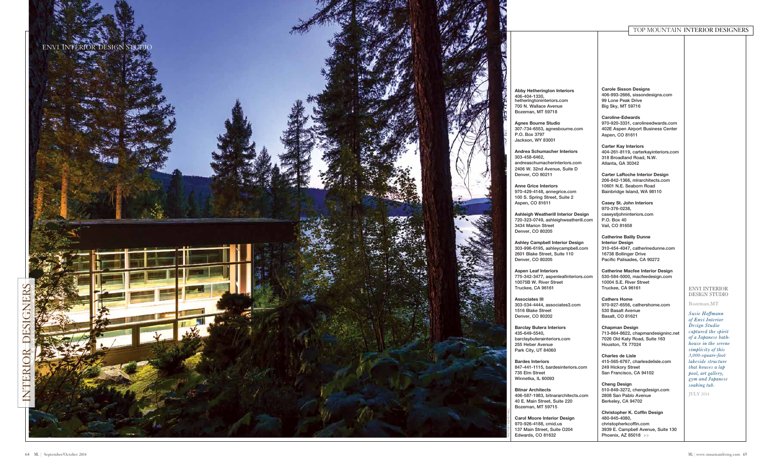**Abby Hetherington Interiors** hetheringtoninteriors.com 700 N. Wallace Avenue Bozeman, MT 59718

**Agnes Bourne Studio** 307-734-6553, agnesbourne.com

**Andrea Schumacher Interiors**  andreaschumacherinteriors.com 2406 W. 32nd Avenue, Suite D

**Anne Grice Interiors** 970-429-4148, annegrice.com 100 S. Spring Street, Suite 2

**Ashleigh Weatherill Interior Design** 720-323-0749, ashleighweatherill.com

**Ashley Campbell Interior Design** 303-996-6195, ashleycampbell.com 2601 Blake Street, Suite 110

**Aspen Leaf Interiors** 775-342-3477, aspenleafinteriors.com 10075B W. River Street

303-534-4444, associates3.com

**Barclay Butera Interiors** barclaybuterainteriors.com

847-441-1115, bardesinteriors.com

406-587-1983, bitnararchitects.com 40 E. Main Street, Suite 220

**Carol Moore Interior Design** 970-926-4188, cmid.us 137 Main Street, Suite O204

### Envi int erior DESIGN STUDIO

**Carole Sisson Designs** 406-993-2666, sissondesigns.com 99 Lone Peak Drive Big Sky, MT 59716

**Caroline-Edwards** 970-920-3331, carolineedwards.com 402E Aspen Airport Business Center Aspen, CO 81611

**Carter Kay Interiors** 404-261-8119, carterkayinteriors.com 318 Broadland Road, N.W. Atlanta, GA 30342

**Carter LaRoche Interior Design**  206-842-1366, mlrarchitects.com 10601 N.E. Seaborn Road Bainbridge Island, WA 98110

**Casey St. John Interiors**  970-376-0238, caseystjohninteriors.com P.O. Box 40 Vail, CO 81658

**Catherine Bailly Dunne Interior Design** 310-454-4047, catherinedunne.com 16738 Bollinger Drive Pacific Palisades, CA 90272



**Catherine Macfee Interior Design** 530-584-5000, macfeedesign.com 10004 S.E. River Street Truckee, CA 96161

**Cathers Home** 970-927-6556, cathershome.com 530 Basalt Avenue Basalt, CO 81621

**Chapman Design** 713-864-8622, chapmandesigninc.net 7026 Old Katy Road, Suite 163 Houston, TX 77024

**Charles de Lisle**  415-565-6767, charlesdelisle.com 249 Hickory Street San Francisco, CA 94102

**Cheng Design** 510-849-3272, chengdesign.com 2808 San Pablo Avenue Berkeley, CA 94702

**Christopher K. Coffin Design** 480-945-4080, christopherkcoffin.com 3939 E. Campbell Avenue, Suite 130 Phoenix, AZ 85018 >>

### to p mountai n Interior Des igners

Bozeman,M T

*Susie Hoffmann of Envi Interior Design Studio captured the spirit of a Japanese bath house in the serene simplicity of this 3,000-square-foot lakeside structure that houses a lap pool, art gallery, gym and Japanese soaking tub.*

July 2014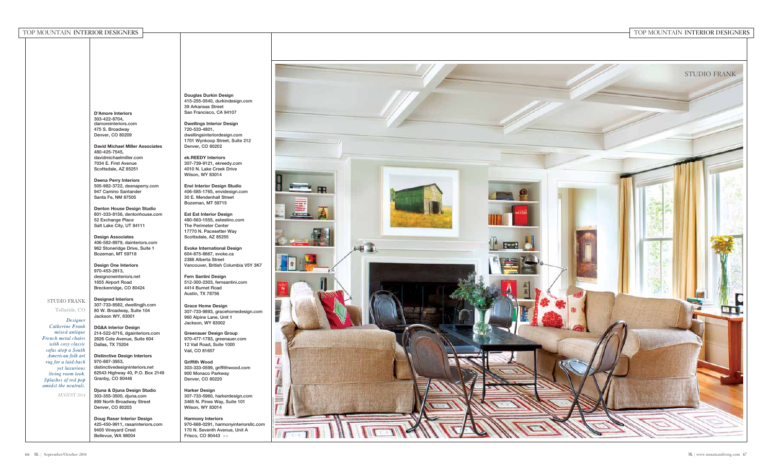#### to p mountai n Interior Des IGNERS FIGURERS TO THE CONSTRUCTION CONTINUES. THE CONSTRUCTION CONTINUES TO THE CONSTRUCTION CONTINUES TO

# p mountai n Interior Des igners

**D'Amore Interiors** 303-422-8704, damoreinteriors.com 475 S. Broadway Denver, CO 80209

**David Michael Miller Associates** 480-425-7545, davidmichaelmiller.com 7034 E. First Avenue Scottsdale, AZ 85251

**Deena Perry Interiors**  505-982-3722, deenaperry.com 947 Camino Santander Santa Fe, NM 87505

**Denton House Design Studio** 801-333-8156, dentonhouse.com 52 Exchange Place Salt Lake City, UT 84111

**Design Associates** 406-582-8979, dainteriors.com 962 Stoneridge Drive, Suite 1 Bozeman, MT 59718

**Design One Interiors** 970-453-2813, designoneinteriors.net 1655 Airport Road Breckenridge, CO 80424

**Designed Interiors** 307-733-8582, dwellingjh.com 80 W. Broadway, Suite 104 Jackson WY, 83001

**DG&A Interior Design** 214-522-6716, dgainteriors.com 2626 Cole Avenue, Suite 604 Dallas, TX 75204

**Distinctive Design Interiors** 970-887-3953, distinctivedesigninteriors.net 62543 Highway 40, P.O. Box 2149 Granby, CO 80446

**Djuna & Djuna Design Studio** 303-355-3500, djuna.com 899 North Broadway Street Denver, CO 80203

**Doug Rasar Interior Design** 425-450-9911, rasarinteriors.com 9400 Vineyard Crest Bellevue, WA 98004



**Douglas Durkin Design** 415-255-0540, durkindesign.com 39 Arkansas Street San Francisco, CA 94107

**Dwellings Interior Design** 720-533-4801, dwellingsinteriordesign.com 1701 Wynkoop Street, Suite 212 Denver, CO 80202

**ek.REEDY Interiors** 307-739-9121, ekreedy.com 4010 N. Lake Creek Drive Wilson, WY 83014

**Envi Interior Design Studio** 406-585-1765, envidesign.com 30 E. Mendenhall Street Bozeman, MT 59715

**Est Est Interior Design** 480-563-1555, estestinc.com The Perimeter Center 17770 N. Pacesetter Way Scottsdale, AZ 85255

**Evoke International Design** 604-875-8667, evoke.ca 2388 Alberta Street Vancouver, British Columbia V5Y 3K7

**Fern Santini Design** 512-300-2303, fernsantini.com 4414 Burnet Road Austin, TX 78756

**Grace Home Design** 307-733-9893, gracehomedesign.com 960 Alpine Lane, Unit 1 Jackson, WY 83002

**Greenauer Design Group** 970-477-1783, greenauer.com 12 Vail Road, Suite 1000 Vail, CO 81657

**Griffith Wood** 303-333-0599, griffithwood.com 900 Monaco Parkway Denver, CO 80220

**Harker Design** 307-733-5960, harkerdesign.com 3465 N. Pines Way, Suite 101 Wilson, WY 83014

**Harmony Interiors** 970-668-0291, harmonyinteriorsllc.com 170 N. Seventh Avenue, Unit A Frisco, CO 80443 >>

Stu dio Frank Telluride, CO *Designer Catherine Frank mixed antique French metal chairs with cozy classic sofas atop a South American folk art rug for a laid-back yet luxurious living room look. Splashes of red pop amidst the neutrals.* August 2014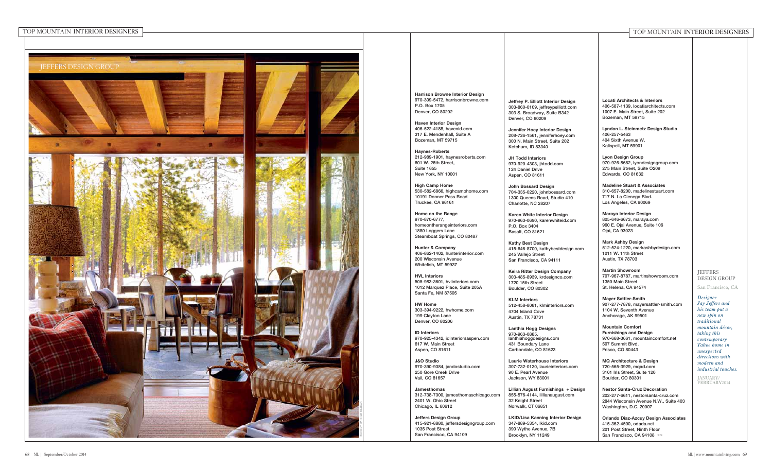

| ERIOR DESIGNERS |                                                                                                                                                                                                                                                                                                                                                                                                                                                                                                                                                                                                                                                                                                                                                                                                                                                                                                                                                                                                                                                                                                                                                                                             |                                                                                                                                                                                                                                                                                                                                                                                                                                                                                                                                                                                                                                                                                                                                                                                                                                                                                                                                                                                                                                                                                                                                                                                                                            | TOP MOUNTAIN INTERIOR DESIGNERS                                                                                                                                                                                                                                                                                                                                                                                                                                                                                                                                                                                                                                                                                                                                                                                                                                                                                                                                                                                                                                                                                                                                                                                                                                                                   |                                                                                                                                                                                                                                                                                  |
|-----------------|---------------------------------------------------------------------------------------------------------------------------------------------------------------------------------------------------------------------------------------------------------------------------------------------------------------------------------------------------------------------------------------------------------------------------------------------------------------------------------------------------------------------------------------------------------------------------------------------------------------------------------------------------------------------------------------------------------------------------------------------------------------------------------------------------------------------------------------------------------------------------------------------------------------------------------------------------------------------------------------------------------------------------------------------------------------------------------------------------------------------------------------------------------------------------------------------|----------------------------------------------------------------------------------------------------------------------------------------------------------------------------------------------------------------------------------------------------------------------------------------------------------------------------------------------------------------------------------------------------------------------------------------------------------------------------------------------------------------------------------------------------------------------------------------------------------------------------------------------------------------------------------------------------------------------------------------------------------------------------------------------------------------------------------------------------------------------------------------------------------------------------------------------------------------------------------------------------------------------------------------------------------------------------------------------------------------------------------------------------------------------------------------------------------------------------|---------------------------------------------------------------------------------------------------------------------------------------------------------------------------------------------------------------------------------------------------------------------------------------------------------------------------------------------------------------------------------------------------------------------------------------------------------------------------------------------------------------------------------------------------------------------------------------------------------------------------------------------------------------------------------------------------------------------------------------------------------------------------------------------------------------------------------------------------------------------------------------------------------------------------------------------------------------------------------------------------------------------------------------------------------------------------------------------------------------------------------------------------------------------------------------------------------------------------------------------------------------------------------------------------|----------------------------------------------------------------------------------------------------------------------------------------------------------------------------------------------------------------------------------------------------------------------------------|
| GROUP: GROUP    | <b>Harrison Browne Interior Design</b><br>970-309-5472, harrisonbrowne.com<br>P.O. Box 1705<br>Denver, CO 80202<br><b>Haven Interior Design</b><br>406-522-4188, havenid.com<br>317 E. Mendenhall, Suite A<br>Bozeman, MT 59715<br><b>Haynes-Roberts</b><br>212-989-1901, haynesroberts.com<br>601 W. 26th Street,<br><b>Suite 1655</b><br>New York, NY 10001<br><b>High Camp Home</b><br>530-582-6866, highcamphome.com<br>10191 Donner Pass Road<br>Truckee, CA 96161<br>Home on the Range<br>970-870-6777,<br>homeontherangeinteriors.com<br>1880 Loggers Lane<br>Steamboat Springs, CO 80487<br><b>Hunter &amp; Company</b><br>406-862-1402, hunterinterior.com<br>200 Wisconsin Avenue<br>Whitefish, MT 59937<br><b>HVL Interiors</b><br>505-983-3601, hvlinteriors.com<br>1012 Marquez Place, Suite 205A<br>Santa Fe, NM 87505<br><b>HW Home</b><br>303-394-9222, hwhome.com<br>199 Clayton Lane<br>Denver, CO 80206<br><b>ID Interiors</b><br>970-925-4342, idinteriorsaspen.com<br>617 W. Main Street<br>Aspen, CO 81611<br><b>J&amp;O Studio</b><br>970-390-9384, jandostudio.com<br>250 Gore Creek Drive<br>Vail, CO 81657<br>Jamesthomas<br>312-738-7300, jamesthomaschicago.com | Jeffrey P. Elliott Interior Design<br>303-860-0109, jeffreypelliott.com<br>303 S. Broadway, Suite B342<br>Denver, CO 80209<br>Jennifer Hoey Interior Design<br>208-726-1561, jenniferhoey.com<br>300 N. Main Street, Suite 202<br>Ketchum, ID 83340<br>JH Todd Interiors<br>970-920-4303, jhtodd.com<br>124 Daniel Drive<br>Aspen, CO 81611<br><b>John Bossard Design</b><br>704-335-0220, johnbossard.com<br>1300 Queens Road, Studio 410<br>Charlotte, NC 28207<br>Karen White Interior Design<br>970-963-0690, karenwhiteid.com<br>P.O. Box 3404<br>Basalt, CO 81621<br><b>Kathy Best Design</b><br>415-646-8700, kathybestdesign.com<br>245 Vallejo Street<br>San Francisco, CA 94111<br>Keira Ritter Design Company<br>303-485-8939, krdesignco.com<br>1720 15th Street<br>Boulder, CO 80302<br><b>KLM Interiors</b><br>512-458-8081, klminteriors.com<br>4704 Island Cove<br>Austin, TX 78731<br><b>Lanthia Hogg Designs</b><br>970-963-0885,<br>lanthiahoggdesigns.com<br>431 Boundary Lane<br>Carbondale, CO 81623<br><b>Laurie Waterhouse Interiors</b><br>307-732-0130, laurieinteriors.com<br>90 E. Pearl Avenue<br>Jackson, WY 83001<br>Lillian August Furnishings + Design<br>855-576-4144, lillianaugust.com | <b>Locati Architects &amp; Interiors</b><br>406-587-1139, locatiarchitects.com<br>1007 E. Main Street, Suite 202<br>Bozeman, MT 59715<br>Lyndon L. Steinmetz Design Studio<br>406-257-5463<br>404 Sixth Avenue W.<br>Kalispell, MT 59901<br>Lyon Design Group<br>970-926-8682, lyondesigngroup.com<br>275 Main Street, Suite O209<br>Edwards, CO 81632<br><b>Madeline Stuart &amp; Associates</b><br>310-657-8200, madelinestuart.com<br>717 N. La Cienega Blvd.<br>Los Angeles, CA 90069<br><b>Maraya Interior Design</b><br>805-646-6673, maraya.com<br>960 E. Ojai Avenue, Suite 106<br>Ojai, CA 93023<br><b>Mark Ashby Design</b><br>512-524-1220, markashbydesign.com<br>1011 W. 11th Street<br>Austin, TX 78703<br><b>Martin Showroom</b><br>707-967-8787, martinshowroom.com<br>1350 Main Street<br>St. Helena, CA 94574<br><b>Mayer Sattler-Smith</b><br>907-277-7878, mayersattler-smith.com<br>1104 W. Seventh Avenue<br>Anchorage, AK 99501<br><b>Mountain Comfort</b><br><b>Furnishings and Design</b><br>970-668-3661, mountaincomfort.net<br>507 Summit Blvd.<br>Frisco, CO 80443<br><b>MQ Architecture &amp; Design</b><br>720-565-3929, mgad.com<br>3101 Iris Street, Suite 120<br>Boulder, CO 80301<br><b>Nestor Santa-Cruz Decoration</b><br>202-277-6611, nestorsanta-cruz.com | <b>JEFFERS</b><br>DESIGN GROUP<br>San Francisco, CA<br>Designer<br>Jay Jeffers and<br>his team put a<br>new spin on<br>traditional<br>mountain décor,<br>taking this<br>contemporary<br>Tahoe home in<br>unexpected<br>directions with<br>modern and<br>JANUARY/<br>FEBRUARY2014 |
|                 |                                                                                                                                                                                                                                                                                                                                                                                                                                                                                                                                                                                                                                                                                                                                                                                                                                                                                                                                                                                                                                                                                                                                                                                             |                                                                                                                                                                                                                                                                                                                                                                                                                                                                                                                                                                                                                                                                                                                                                                                                                                                                                                                                                                                                                                                                                                                                                                                                                            |                                                                                                                                                                                                                                                                                                                                                                                                                                                                                                                                                                                                                                                                                                                                                                                                                                                                                                                                                                                                                                                                                                                                                                                                                                                                                                   | industrial touches.                                                                                                                                                                                                                                                              |
|                 | 2401 W. Ohio Street<br>Chicago, IL 60612<br>Jeffers Design Group<br>415-921-8880, jeffersdesigngroup.com<br>1035 Post Street<br>San Francisco, CA 94109                                                                                                                                                                                                                                                                                                                                                                                                                                                                                                                                                                                                                                                                                                                                                                                                                                                                                                                                                                                                                                     | 32 Knight Street<br>Norwalk, CT 06851<br><b>LKID/Lisa Kanning Interior Design</b><br>347-889-5354, Ikid.com<br>390 Wythe Avenue, 7B<br>Brooklyn, NY 11249                                                                                                                                                                                                                                                                                                                                                                                                                                                                                                                                                                                                                                                                                                                                                                                                                                                                                                                                                                                                                                                                  | 2844 Wisconsin Avenue N.W., Suite 403<br>Washington, D.C. 20007<br><b>Orlando Diaz-Azcuy Design Associates</b><br>415-362-4500, odada.net<br>201 Post Street, Ninth Floor<br>San Francisco, CA 94108 >>                                                                                                                                                                                                                                                                                                                                                                                                                                                                                                                                                                                                                                                                                                                                                                                                                                                                                                                                                                                                                                                                                           |                                                                                                                                                                                                                                                                                  |